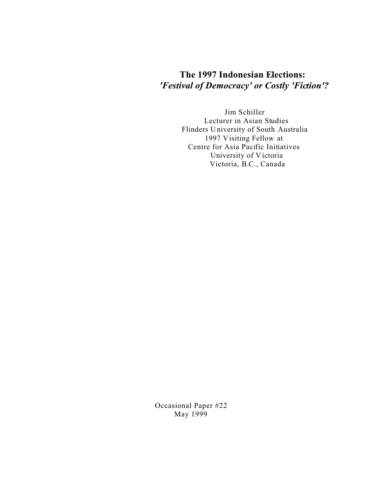# **The 1997 Indonesian Elections:** *'Festival of Democracy' or Costly 'Fiction'?*

Jim Schiller Lecturer in Asian Studies Flinders University of South Australia 1997 Visiting Fellow at Centre for Asia Pacific Initiatives University of Victoria Victoria, B.C., Canada

Occasional Paper #22 May 1999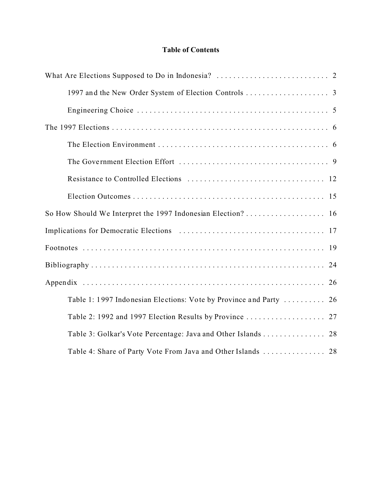## **Table of Contents**

| Table 1: 1997 Indonesian Elections: Vote by Province and Party  26 |
|--------------------------------------------------------------------|
|                                                                    |
|                                                                    |
|                                                                    |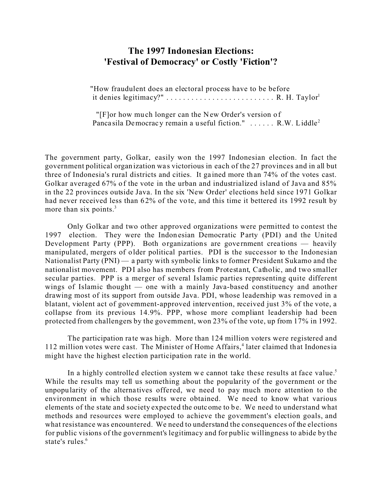## **The 1997 Indonesian Elections: 'Festival of Democracy' or Costly 'Fiction'?**

"How fraudulent does an electoral process have to be before it denies legitimacy?"  $\dots \dots \dots \dots \dots \dots \dots \dots$ . R. H. Taylor<sup>1</sup>

" $[$ F $]$ or how much longer can the New Order's version of Panca sila Democracy remain a useful fiction."  $\ldots$ . R.W. Liddle<sup>2</sup>

The government party, Golkar, easily won the 1997 Indonesian election. In fact the government political organ ization wa s victorious in each of the 27 provinces and in all but three of Indonesia's rural districts and cities. It ga ined more th an 74% of the votes cast. Golkar averaged 67% o f the vote in the urban and industrialized island of Java and 85% in the 22 provinces outside Java. In the six 'New Order' elections held since 1971 Golkar had never received less than 62% of the vote, and this time it bettered its 1992 result by more than six points. $3$ 

Only Golkar and two other approved organizations were permitted to contest the 1997 election. They were the Indon esian Democratic Party (PDI) and the United Development Party (PPP). Both organizations are government creations  $-$  heavily manipulated, mergers of o lder political parties. PDI is the successor to the Indonesian Nationalist Party (PNI) — a party with symbolic links to former President Sukarno and the nationalist movement. PDI also has members from Protestant, Catholic, and two smaller secular parties. PPP is a merger of several Islamic parties representing quite different wings of Islamic thought — one with a mainly Java-based constituency and another drawing most of its support from outside Java. PDI, whose leadership was removed in a blatant, violent act of government-approved intervention, received just 3% of the vote, a collapse from its previous 14.9%. PPP, whose more compliant leadership had been protected from challengers by the government, won 23% of the vote, up from 17% in 1992.

The participation rate was high. More than 124 million voters were registered and 112 million votes were cast. The Minister of Home Affairs,<sup>4</sup> later claimed that Indonesia might have the highest election participation rate in the world.

In a highly controlled election system we cannot take these results at face value.<sup>5</sup> While the results may tell us something about the popularity of the government or the unpopularity of the alternatives offered, we need to pay much more attention to the environment in which those results were obtained. We need to know what various elements of the state and society expected the outc ome to b e. We need to understand what methods and resources were employed to achieve the government's election goals, and what resistance was encountered. We need to understand the consequences of the elections for public visions of the government's legitimacy and for public willingness to abide by the state's rules.<sup>6</sup>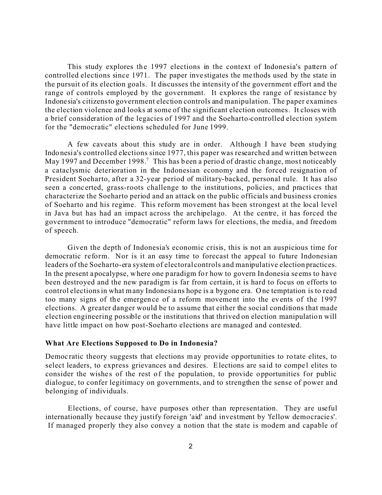This study explores the 1997 elections in the context of Indonesia's pattern of controlled elections since 1971. The paper inve stigates the me thods used by the state in the pursuit of its election goals. It discusses the intensity of the government effort and the range of controls employed by the government. It explores the range of resistance by Indonesia's citizensto government election controls and manipulation. The paper examines the election violence and looks at some of the significant election outcomes. It closes with a brief consideration of the legacies of 1997 and the Soeharto-controlled election system for the "democratic" elections scheduled for June 1999.

A few caveats about this study are in order. Although I have been studying Indo nesia's controlled elections since 1977, this paper was researched and written between May 1997 and December 1998.<sup>7</sup> This has been a period of drastic change, most noticeably a cataclysmic deterioration in the Indonesian economy and the forced resignation of President Soeharto, after a 32-year period of military-backed, personal rule. It has also seen a conc erted, grass-roots challenge to the institutions, policies, and practices that characterize the Soeharto period and an attack on the public officials and business cronies of Soeharto and his regime. This reform movement has been strongest at the local level in Java but has had an impact across the archipelago. At the centre, it has forced the government to introduce "democratic" reform laws for elections, the media, and freedom of speech.

Given the depth of Indonesia's economic crisis, this is not an auspicious time for democratic reform. Nor is it an easy time to forecast the appeal to future Indonesian leaders of the Soeharto-era system of electoral controls and manipulative election practices. In the present a pocalypse, where one p aradigm for how to govern In donesia se ems to have been destroyed and the new paradigm is far from certain, it is hard to focus on efforts to control elections in what many Indonesians hope is a bygone era. One temptation is to read too many signs of the emergence of a reform movement into the events of the 1997 elections. A greater danger would be to assume that either the social conditions that made election engineering possible or the institutions that thrived on election manipulation will have little impact on how post-Soeharto elections are managed and contested.

#### **What Are Elections Supposed to Do in Indonesia?**

Democratic theory suggests that elections may provide opportunities to rotate elites, to select leaders, to express grievances and desires. Elections are said to compel elites to consider the wishes of the rest of the population, to provide opportunities for public dialogue, to confer legitimacy on governments, and to strengthen the sense of power and belonging of individuals.

Elections, of course, have purposes other than representation. They are useful internationally because they justify foreign 'aid' and investment by 'fellow democracies'. If managed properly they also convey a notion that the state is modern and capable of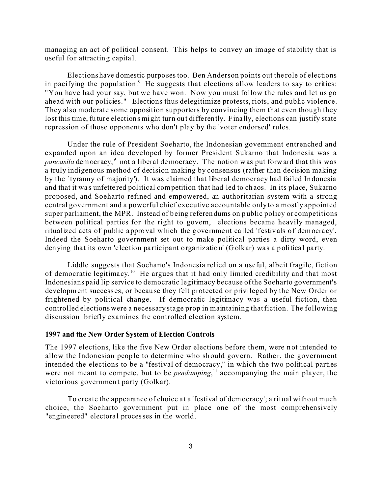managing an act of political consent. This helps to convey an image of stability that is useful for attracting capital.

Elections have domestic purposes too. Ben Anderson points out the role of elections in pacifying the population.<sup>8</sup> He suggests that elections allow leaders to say to critics: "You have had your say, but we have won. Now you must follow the rules and let us go ahead with our policies." Elections thus delegitimize protests, riots, and public violence. They also moderate some opposition supporters by convincing them that even though they lost this time, fu ture elections might turn out differently. Finally, elections can justify state repression of those opponents who don't play by the 'voter endorsed' rules.

Under the rule of President Soeharto, the Indonesian government entrenched and expanded upon an idea developed by former President Sukarno that Indonesia was a pancasila democracy,<sup>9</sup> not a liberal democracy. The notion was put forward that this was a truly indigenous method of decision making by consensus (rather than decision making by the `tyranny of majority'). It was claimed that liberal democracy had failed In donesia and that it was unfette red political competition that had led to chaos. In its place, Sukarno proposed, and Soeharto refined and empowered, an authoritarian system with a strong central government and a powerful chief executive accountable only to a mostly appointed super parliament, the MPR. Instead of being referen dums on p ublic policy or competitions between political parties for the right to govern, elections became heavily managed, ritualized acts of public approval which the government called 'festivals of democracy'. Indeed the Soeharto government set out to make political parties a dirty word, even den ying that its own 'election participant organization' (Golkar) was a political party.

Liddle suggests that Soeharto's Indonesia relied on a useful, albeit fragile, fiction of democratic legitimacy.<sup>10</sup> He argues that it had only limited credibility and that most Indonesians paid lip service to democratic legitimacy because of the Soeharto government's development success es, or becau se they felt protected or privileged by the New Order or frightened by political change. If democratic legitimacy was a useful fiction, then controlled elections were a necessary stage prop in maintaining that fiction. The following discussion briefly examines the controlled election system.

#### **1997 and the New Order System of Election Controls**

The 1997 elections, like the five New Order elections before them, were not intended to allow the Indonesian people to determine who should govern. Rather, the government intended the elections to be a "festival of democracy," in which the two political parties were not meant to compete, but to be *pendamping*, <sup>11</sup> accompanying the main player, the victorious government party (Golkar).

To create the appearance of choice at a 'festival of democracy'; a ritual without much choice, the Soeharto government put in place one of the most comprehensively "engineered" electora l processes in the world.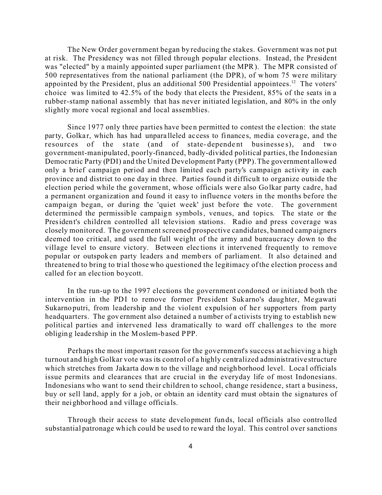The New Order government began by reducing the stakes. Government was not put at risk. The Presidency was not filled through popular elections. Instead, the President was "elected" by a mainly appointed super parliament (the MPR). The MPR consisted of 500 representatives from the national parliament (the DPR), of whom 75 were military appointed by the President, plus an additional 500 Presidential appointees.<sup>12</sup> The voters' choice was limited to 42.5% of the body that elects the President, 85% of the seats in a rubber-stamp national assembly that has never initiated legislation, and 80% in the only slightly more vocal regional and local assemblies.

Since 1977 only three parties have been permitted to contest the e lection: the state party, Golkar, which has had unpara lleled access to finances, media coverage, and the resources of the state (and of state-dependent businesses), and two government-manipulated, poorly-financed, badly-divided political parties, the Indonesian Democ ratic Party (PDI) and the United Development Party (PPP). The government allowed only a brief campaign period and then limited each party's campaign activity in each province and district to one day in three. Parties found it difficult to organize outside the election period while the government, whose officials were also Golkar party cadre, had a permanent organization and found it easy to influence voters in the months before the campaign began, or during the 'quiet week' just before the vote. The government determined the permissible campaign symbols, venues, and topics. The state or the President's children controlled all television stations. Radio and press coverage was closely monitored. The government screened prospective candidates, banned camp aigners deemed too critical, and used the full weight of the army and bureaucracy down to the village level to ensure victory. Between elec tions it intervened frequently to remove popular or outspok en party leaders a nd memb ers of parliament. It also detained and threatened to bring to trial those who questioned the legitimacy of the election process and called for an election boycott.

In the run-up to the 1997 elections the government condoned or initiated both the intervention in the PDI to remove former President Sukarno's daughter, Megawati Sukarno putri, from leadership and the violent expulsion of her supporters from party headquarters. The government also detained a number of activists trying to establish new political parties and intervened less dramatically to ward off challenges to the more obliging leade rship in the Moslem-b ased PPP.

Perhaps the most important reason for the government's success at achieving a high turnout and high Golkar vote was its control of a highly centralized administrative structure which stretches from Jakarta down to the village and neighborhood level. Local officials issue permits and clearances that are crucial in the everyday life of most Indonesians. Indonesians who want to send their children to school, change residence, start a business, buy or sell land, apply for a job, or obtain an identity card must obtain the signatures of their neighborhood and village officials.

Through their access to state development funds, local officials also controlled substantial patronage wh ich could be used to reward the loyal. This control over sanctions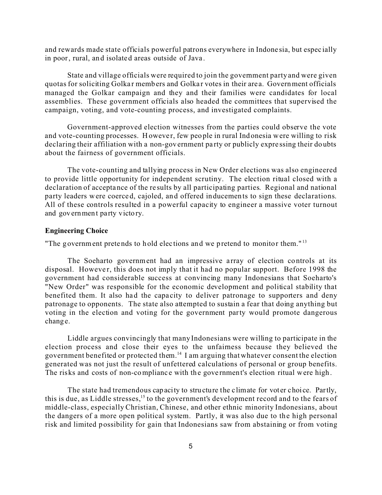and rewards made state officials powerful patrons everywhere in Indone sia, but espec ially in poor, rural, and isolated areas outside of Java .

State and village officials were required to join the government party and were given quotas for soliciting Golkar members and Golkar votes in their area. Government officials managed the Golkar campaign and they and their families were candidates for local assemblies. These government officials also headed the committees that supervised the campaign, voting, and vote-counting process, and investigated complaints.

Government-approved election witnesses from the parties could observe the vote and vote-counting processes. However, few people in rural Indonesia were willing to risk declaring their affiliation with a non-government party or publicly expressing their doubts about the fairness of government officials.

The vote-counting and tallying process in New Order elections was also engineered to provide little opportunity for independent scrutiny. The election ritual closed with a declaration of acceptance of the re sults by all participating parties. Regional and national party leaders were coerced, cajoled, and offered inducemen ts to sign these declarations. All of these controls resulted in a powerful capacity to engineer a massive voter turnout and gov ernmen t party victo ry.

#### **Engineering Choice**

"The government pretends to hold elections and we pretend to monitor them."<sup>13</sup>

The Soeharto government had an impressive a rray of election controls at its disposal. However, this does not imply that it had no popular support. Before 1998 the government had considerable success at convincing many Indonesians that Soeharto's "New Order" was responsible for the economic development and political stability that benefited them. It also had the capa city to deliver patronage to supporters and deny patronage to opponents. The state also attempted to sustain a fear that doing anything but voting in the election and voting for the government party would promote dangerous change.

Liddle argues convincingly that many Indonesians were willing to participate in the election process and close their eyes to the unfairness because they believed the government benefited or protected them.<sup>14</sup> I am arguing that whatever consent the election generated was not just the result of unfettered calculations of personal or group benefits. The risks and costs of non-compliance with the government's election ritual were high.

The state had tremendous capacity to structure the climate for voter choice. Partly, this is due, as Liddle stresses,<sup>15</sup> to the government's development record and to the fears of middle-class, especially Christian, Chinese, and other ethnic minority Indonesians, about the dangers of a more open political system. Partly, it was also due to the high personal risk and limited possibility for gain that Indonesians saw from abstaining or from voting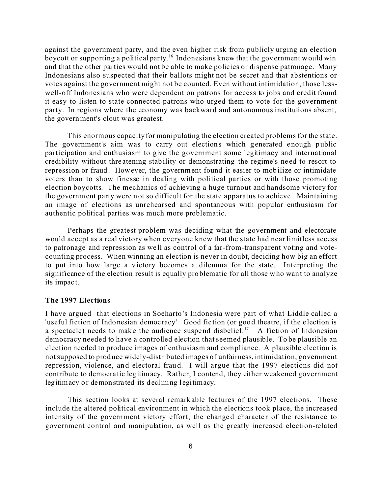against the government party, and the even higher risk from publicly urging an election boycott or supporting a political party.<sup>16</sup> Indonesians knew that the government would win and that the other parties would not be able to make policies or dispense patronage. Many Indonesians also suspected that their ballots might not be secret and that abstentions or votes against the government might not be counted. Even without intimidation, those lesswell-off Indonesians who were dependent on patrons for access to jobs and credit found it easy to listen to state-connected patrons who urged them to vote for the government party. In regions where the economy was backward and autonomous institutions absent, the government's clout was greatest.

This enormous capacity for manipulating the election created problems for the state. The government's aim was to carry out elections which generated enough public participation and enthusiasm to give the government some legitimacy and international credibility without thre atening stab ility or demonstrating the regime's ne ed to resort to repression or fraud. However, the government found it easier to mobilize or intimidate voters than to show finesse in dealing with political parties or with those promoting election boycotts. The mechanics of achieving a huge turnout and handsome victory for the government party were n ot so difficult for the state apparatus to achieve. Maintaining an image of elections as unrehearsed and spontaneous with popular enthusiasm for authentic political parties was much more problematic.

Perhaps the greatest problem was deciding what the government and electorate would accept as a real victory when everyone knew that the state had near limitless access to patronage and repression as we ll as control of a far-from-transparent voting and votecounting process. When winning an election is never in doubt, deciding how big an effort to put into how large a v ictory becomes a dilemma for the state. Interpreting the significance of the election result is equally problematic for all those who want to analyze its impact.

#### **The 1997 Elections**

I have argued that elections in Soeharto 's Indonesia were part of what Liddle called a 'useful fiction of Indonesian democ racy'. Good fic tion (or good theatre, if the e lection is a spectacle) needs to make the audience suspend disbelief.<sup>17</sup> A fiction of Indonesian democracy needed to have a controlled election that seemed plausible. To be plausible an election needed to produce images of enthusiasm and compliance. A plausible elec tion is not supposed to prod uce widely-distributed images of unfairness, intimidation, government repression, violence, and electoral fraud. I will argue that the 1997 elections did not contribute to democra tic legitimacy. Rather, I contend, they either weakened government legitimacy or demonstrated its declining legitimacy.

This section looks at several remarkable features of the 1997 elections. These include the altered political environment in which the elections took place, the increased intensity of the government victory effort, the changed character of the resistance to government control and manipulation, as well as the greatly increased election-related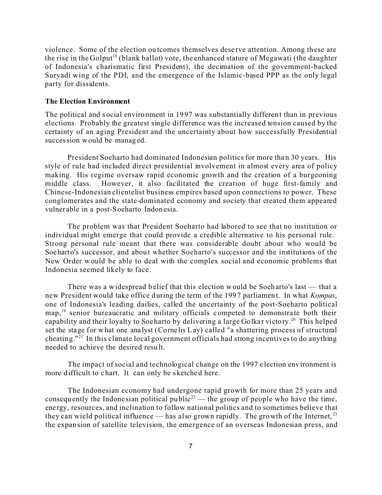violence. Some of the election ou tcomes themselves dese rve attention. Among these are the rise in the Golput<sup>18</sup> (blank ballot) vote, the enhanced stature of Megawati (the daughter of Indonesia's charismatic first President), the decimation of the government-backed Suryadi wing of the PDI, and the emergence of the Islamic-based PPP as the only legal party for dissidents.

#### **The Election Environment**

The political and social environment in 19 97 was substantially different than in previous elections. Probably the greatest single difference was the increased tension caused by the certainty of an aging President and the uncertainty about how successfully Presidential succession would be managed.

President Soeharto had dominated Indonesian politics for more than 30 years. His style of rule had included direct presidential involvement in almost every area of policy making. His regime oversaw rapid economic growth and the creation of a burgeoning middle class. However, it also facilitated the creation of huge first-family and Chinese-Indonesian clientelist business empires based upon connections to power. These conglomerates and the state-dominated economy and society that created them appeared vulner able in a post-Soeharto Indonesia.

The problem was that President Soeharto had labored to see that no institution or individual might emerge that could provide a credible alternative to his personal rule. Strong personal rule meant that there was considerable doubt about who would be Soeharto's successor, and about whether Soeharto's successor and the institutions of the New Order would be able to deal with the complex social and economic problems that Indonesia seemed likely to face.

There was a widespread b elief that this election would be Soeharto's last — that a new President would take office during the term of the 1997 parliamen t. In what *Kompas*, one of Indonesia's leading dailies, called the uncertainty of the post-Soeharto political  $map<sub>19</sub>$ , senior bureaucratic and military officials competed to demonstrate both their capability and their loyalty to Soeharto by delivering a large Golkar victory.<sup>20</sup> This helped set the stage for what one ana lyst (Corne lis Lay) called "a shattering process of structural cheating."<sup>21</sup> In this climate local government officials had strong incentives to do anything needed to achieve the desired resu lt.

The impact of social and technological change on the 1997 e lection environment is more difficult to chart. It can only be sketched here.

The Indonesian economy had undergone rapid growth for more than 25 years and consequently the Indonesian political public<sup>22</sup> — the group of people who have the time, ene rgy, resources, and inclination to follow national politics and to sometimes believe that they can wield political influence — has also grown rapidly. The growth of the Internet,  $^{23}$ the expansion of satellite television, the emergence of an overseas Indonesian press, and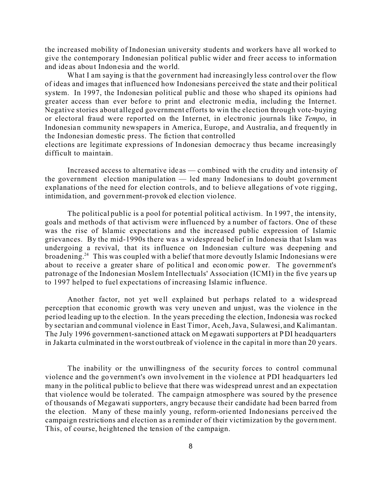the increased mobility of Indonesian university students and workers have all worked to give the contemporary Indonesian political public wider and freer access to information and ide as about Indonesia and the world.

What I am saying is that the government had increasingly less control over the flow of ideas and images that influenced how Indonesians perceived the state and their political system. In 1997, the Indonesian political public and those who shaped its opinions had greater access than ever before to print and electronic media, including the Internet. Negative stories about alleged government efforts to win the election through vote-buying or electoral fraud were reported on the Internet, in electronic journals like *Tempo*, in Indonesian community newspapers in America, Europe, and Australia, an d frequently in the Indonesian domestic press. The fiction that controlled

elections are legitimate exp ressions of In donesian democrac y thus became increasingly difficult to maintain.

Increased access to alternative ide as — c ombined with the cru dity and intensity of the government election manipulation — led many Indonesians to doubt government explanations of the need for election controls, and to believe allegations of vote rigging, intimida tion, and government-provoked elec tion violence.

The political public is a pool for potential political activism. In 1997 , the intensity, goals and methods of that activism were influenced by a number of factors. One of these was the rise of Islamic expectations and the increased public expression of Islamic grievances. By the mid-1990s there was a widespread belief in Indonesia that Islam was undergoing a revival, that its influence on Indonesian culture was deepening and broadening.<sup>24</sup> This was coupled with a belief that more devoutly Islamic Indonesians were about to receive a greater share of political and economic power. The government's patronage of the Indonesian Moslem Intellectuals' Association (ICMI) in the five years up to 1997 helped to fuel expectations of increasing Islamic influence.

Another factor, not yet well explained but perhaps related to a widespread perception that economic growth was very uneven and unjust, was the violence in the period leading up to the election. In the years preceding the election, Indonesia was rocked by sectarian and communal violence in East Timor, Aceh, Java, Sulawesi, and Kalimantan. The July 1996 government-sanctioned attack on M egawati supporters at PDI headquarters in Jakarta culminated in the worst outbreak of violence in the capital in more than 20 years.

The inability or the unwillingness of the security forces to control communal violence and the go vernment's own invo lvement in the violence at PDI headquarters led many in the political public to believe that there was widespread unrest and an expectation that violence would be tolerated. The campaign atmosphere was soured by the presence of thousands of Megawati supporters, angry because their candidate had been barred from the election. Many of these mainly young, reform-oriented Indonesians perceived the campaign restrictions and election as a reminder of their victimization by the government. This, of course, heightened the tension of the campaign.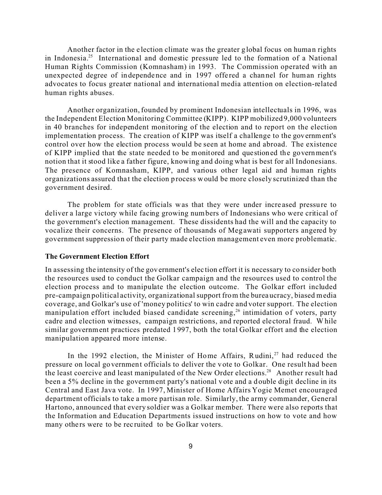Another factor in the e lection climate was the greater global focus on human rights in Indonesia.<sup>25</sup> International and domestic pressure led to the formation of a National Human Rights Commission (Komnasham) in 1993. The Commission operated with an unexpected degree of independence and in 1997 offered a channel for human rights advocates to focus greater national and international media attention on election-related human rights abuses.

Another organization, founded by prominent Indonesian intellectuals in 1996, was the Independent Election Monitoring Committee (KIPP). KIPP mobilized 9,000 volunteers in 40 branches for independent monitoring of the election and to report on the election implementation process. The creation of KIPP was itself a challenge to the government's control over how the election process would be seen at home and abroad. The existence of KIPP implied that the state needed to be monitored and questioned the government's notion that it stood like a father figure, knowing and doing what is best for all Indonesians. The presence of Komnasham, KIPP, and various other legal aid and human rights organizations assured tha t the election process would be more closely scrutinized than the government desired.

The problem for state officials was that they were under increased pressure to deliver a large victory while facing growing numbers of Indonesians who were critical of the government's election management. These dissidents had the will and the capacity to vocalize their concerns. The presence of thousands of Meg awati supporters angered by government suppression of their party made election management even more problematic.

#### **The Government Election Effort**

In assessing the intensity of the gov ernment's elec tion effort it is necessary to consider both the resources used to conduct the Golkar campaign and the resources used to control the election process and to manipulate the election outcome. The Golkar effort included pre-campaign political activity, organizational support from the burea ucracy, biased media coverage, and Golkar's use of 'money politics' to win cadre and voter support. The election manipulation effort included biased candidate screening,<sup>26</sup> intimidation of voters, party cadre and election witnesses, campaign restrictions, and reported ele ctoral fraud. W hile similar government practices predated 1 997, both the total Golkar effort and the election manipulation appeared more intense.

In the 1992 election, the M inister of Home Affairs, Rudini,<sup>27</sup> had reduced the pressure on local go vernment officials to deliver the vote to Golkar. One result had been the least coercive and least manipulated of the New Order elections.<sup>28</sup> Another result had been a 5% decline in the government party's national vote and a double digit decline in its Central and East Java vote. In 1997, Minister of Home Affairs Yogie Memet encouraged department officials to take a more partisan role. Similarly, the army commander, General Hartono, announced that every soldier was a Golkar member. There were also reports that the Information and Education Departments issued instructions on how to vote and how many others were to be recruited to be Golkar voters.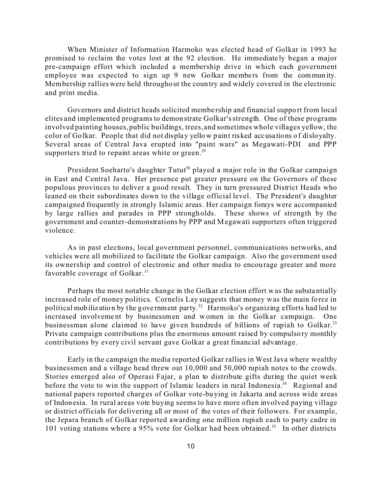When Minister of Information Harmoko was elected head of Golkar in 1993 he promised to reclaim the votes lost at the 92 election. He immediate ly began a major pre-campaign effort which included a membership drive in which each government employee was expected to sign up 9 new Golkar members from the community. Membership rallies were held throughout the coun try and widely covered in the electronic and print media.

Governors and district heads solicited membe rship and financial suppo rt from local elites and implemented programs to demonstrate Golkar's strength. One of these programs involved painting houses, public buildings, trees, and sometimes whole villages yellow, the color of Golkar. People that did not display yellow paint risked accusa tions of disloyalty. Several areas of Central Java erupted into "paint wars" as Megawati-PDI and PPP supporters tried to repaint areas white or green.<sup>29</sup>

President Soeharto's daughter Tutut<sup>30</sup> played a major role in the Golkar campaign in East and Central Java. Her presence put greater pressure on the Governors of these populous provinces to deliver a good result. They in turn pressured District Heads who leaned on their subordinates down to the village official level. The President's daughter campaigned frequently in strongly Islamic areas. Her campaign forays were accompanied by large rallies and parades in PPP strongh olds. These shows of strength by the government and counter-demonstrations by PPP and Megawati supporters often triggered violence.

As in past elections, local government personnel, communications networks, and vehicles were all mobilized to facilitate the Golkar campaign. Also the government used its ownership and control of electronic and other media to encourage greater and more favorable coverage of Golkar.<sup>31</sup>

Perhaps the most notable change in the Golkar e lection effort was the substa ntially increased role of money politics. Cornelis Lay suggests that money was the main fo rce in political mobilization by the government party.<sup>32</sup> Harmoko's organizing efforts had led to increased involvement by businessmen and women in the Golkar campaign. One businessman alone claimed to have given hundreds of billions of rupiah to Golkar.<sup>33</sup> Private campaign contributions plus the enormous amount raised by compulso ry monthly contributions by every civil servant gave Golkar a great financial advantage.

Early in the campaign the media reported Golkar rallies in West Java where wealthy businessmen and a village head threw out 10,000 and 50,000 rupiah notes to the crowds. Stories emerged also of Operasi Fajar, a plan to distribute gifts during the quiet week before the vote to win the support of Islamic leaders in rural Indonesia.<sup>34</sup> Regional and national papers reported charg es of Golkar vote-bu ying in Jakarta and across wide areas of Indonesia. In rural areas vote buying seems to have more often involved paying village or district officials for delivering all or most of the votes of their followers. For example, the Jepara branch of Golkar reported awarding one million rupiah each to party cadre in 101 voting stations where a 95% vote for Golkar had been obtained.<sup>35</sup> In other districts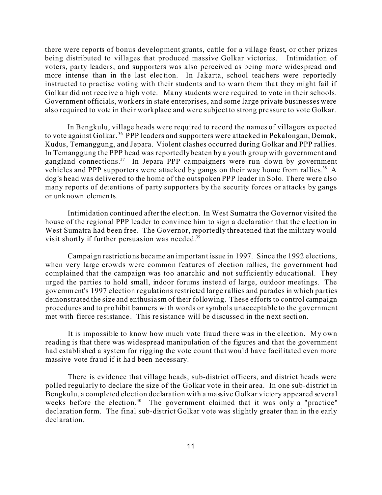there were reports of bonus development grants, cattle for a village feast, or other prizes being distributed to villages that produced massive Golkar victories. Intimidation of voters, party leaders, and supporters was also perceived as being more widespread and more intense than in the last election. In Jakarta, school teachers were reportedly instructed to practise voting with their students and to warn them that they might fail if Golkar did not receive a high v ote. Many students were required to vote in their schools. Government officials, work ers in state enterprises, and some large private businesses were also required to vote in their workplace and were subject to strong pre ssure to vote Golkar.

In Bengkulu, village heads were required to record the names of villagers expected to vote against Golkar. <sup>36</sup> PPP leaders and supporters were attacked in Pekalongan, Demak, Kudus, Temanggung, and Jepara. Violent clashes occurred during Golkar and PPP rallies. In Temanggung the PPP head was reportedly beaten by a youth group with government and gangland connections.<sup>37</sup> In Jepara PPP campaigners were run down by government vehicles and PPP supporters were attacked by gangs on their way home from rallies.<sup>38</sup> A dog's head was delivered to the home of the outspoken PPP leader in Solo. There were also many reports of detentions of party supporters by the security forces or attacks by gangs or unknown elements.

Intimidation continued after the election. In West Sumatra the Governor visited the house of the region al PPP leader to conv ince him to sign a decla ration that the e lection in West Sumatra had been free. The Governor, reportedly threatened that the military would visit shortly if further persuasion was needed.<sup>39</sup>

Campaign restrictions became an important issue in 1997. Since the 1992 elections, when very large crowds were common features of election rallies, the government had complained that the campaign was too anarchic and not sufficiently educational. They urged the parties to hold small, indoor forums instead of large, outdoor meetings. The government's 1997 election regulations restricted large rallies and parades in which parties demonstrated the size and enthusiasm of their following. These efforts to control campaign procedures and to prohibit banners with words or symbols unacceptable to the government met with fierce resistance. This resistance will be discussed in the next section.

It is impossible to know how much vote fraud there was in the election. My own reading is that there was widespread manipulation of the figures and that the government had established a system for rigging the vote count that would have facilitated even more massive vote fraud if it had been necess ary.

There is evidence that village heads, sub-district officers, and district heads were polled regularly to declare the size of the Golkar vote in their area. In one sub-district in Bengkulu, a completed election declaration with a massive Golkar victory appeared several weeks before the election.<sup>40</sup> The government claimed that it was only a "practice" declaration form. The final sub-district Golkar vote was slightly greater than in the early declaration.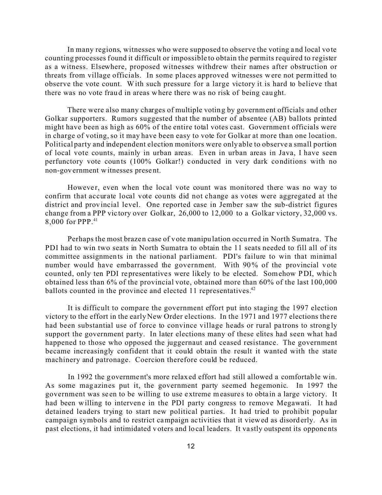In many regions, witnesses who were supposed to observe the voting and local vo te counting processes found it difficult or impossible to obtain the permits required to register as a witness. Elsewhere, proposed witnesses withdrew their names after obstruction or threats from village officials. In some places approved witnesses were not permitted to observe the vote count. With such pressure for a large victory it is hard to believe that there was no vote fraud in areas where there was no risk of being caught.

There were also many charges of multiple voting by government officials and other Golkar supporters. Rumors suggested that the number of absentee (AB) ballots printed might have been as high as 60% of the entire total votes cast. Government officials were in charge of voting, so it may have been easy to vote for Golkar at more than one location. Political party and independent election monitors were only able to observe a small portion of local vote counts, mainly in urban areas. Even in urban areas in Java, I have seen perfunctory vote counts (100% Golkar!) conducted in very dark conditions with no non-gov ernment witnesses prese nt.

However, even when the local vote count was monitored there was no way to confirm that accurate local vote counts did not change as votes were aggregated at the district and provincial level. One reported case in Jember saw the sub-district figures change from a PPP vic tory over Golk ar, 26,000 to 12,000 to a Golkar victory, 32,000 vs. 8,000 for PPP.<sup>41</sup>

Perhaps the most brazen case of vote manipu lation occurred in North Sumatra. The PDI had to win two seats in North Sumatra to obtain the 11 seats needed to fill all of its committee assignmen ts in the national parliament. PDI's failure to win that minimal number would have embarrassed the government. With 90% of the provincial vote counted, only ten PDI representatives were likely to be elected. Somehow PDI, which obtained less than 6% of the provincial vote, obtained more than 60% of the last 100,000 ballots counted in the province and elected 11 representatives.<sup>42</sup>

It is difficult to compare the government effort put into staging the 1997 election victory to the effort in the early New Order elections. In the 1971 and 1977 elections there had been substantial use of force to convince village heads or rural patrons to strongly support the government party. In later elections many of these elites had seen what had happened to those who opposed the juggernaut and ceased resistance. The government became increasingly confident that it could obtain the result it wanted with the state machinery and patronage. Coercion therefore could be reduced.

In 1992 the government's more relaxed effort had still allowed a comfortable win. As some mag azines put it, the government party seemed hegemonic. In 1997 the government was seen to be willing to use extreme measures to obtain a large victory. It had been willing to intervene in the PDI party congress to remove Megawati. It had detained leaders trying to start new political parties. It had tried to prohibit popular campaign symbols and to restrict campaign ac tivities that it viewed as disord erly. As in past elections, it had intimidated voters and local leaders. It va stly outspent its opponents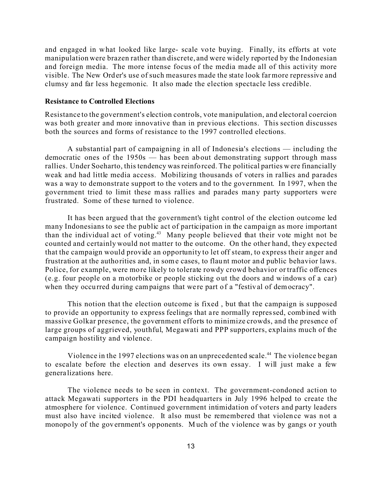and engaged in what looked like large- scale vote buying. Finally, its efforts at vote manipulation were brazen rather than discrete, and were widely reported by the Indonesian and foreign media. The more intense focus of the media made all of this activity more visible. The New Order's use of such measures made the state look far more repressive and clumsy and far less hegemonic. It also made the election spectacle less credible.

#### **Resistance to Controlled Elections**

Resistance to the government's election controls, vote manipulation, and electoral coercion was both greater and more innovative than in previous elections. This section discusses both the sources and forms of resistance to the 1997 controlled elections.

A substantial part of campaigning in all of Indonesia's elections — including the democratic ones of the 1950s — has been ab out demonstrating support through mass rallies. Under Soeharto, this tendency was reinfo rced. The political parties were financially weak and had little media access. Mobilizing thousands of voters in rallies and parades was a way to demonstrate support to the voters and to the government. In 1997, when the government tried to limit these mass rallies and parades many party supporters were frustrated. Some of these turned to violence.

It has been argued that the government's tight control of the election outcome led many Indonesians to see the public act of participation in the campaign as more important than the individual act of voting.<sup>43</sup> Many people believed that their vote might not be counted and certainly would not matter to the outcome. On the other hand, they expected that the campaign would provide an opportunity to let off steam, to express their anger and frustration at the authorities and, in some cases, to flaunt motor and public behavior laws. Police, for example, were more likely to tolerate rowdy crowd behavior or traffic offences (e.g. four people on a motorbike or people sticking o ut the doors and windows of a car) when they occurred during campaigns that we re part of a "festival of democracy".

This notion that the election outcome is fixed , but that the campaign is supposed to provide an opportunity to express feelings that a re normally repressed, combined with massive Golkar presence, the government efforts to minimize crowds, and the presence of large groups of aggrieved, youthful, Megawati and PPP supporters, explains much of the campaign hostility and violence.

Violence in the 1997 elections was on an unprecedented scale.<sup>44</sup> The violence began to escalate before the election and deserves its own essay. I will just make a few genera lizations here.

The violence needs to be seen in context. The government-condoned action to attack Megawati supporters in the PDI headquarters in July 1996 helped to create the atmosphere for violence. Continued government intimidation of voters and party leaders must also have incited violence. It also must be remembered that violence was not a monopoly of the government's opponents. Much of the violence was by gangs or youth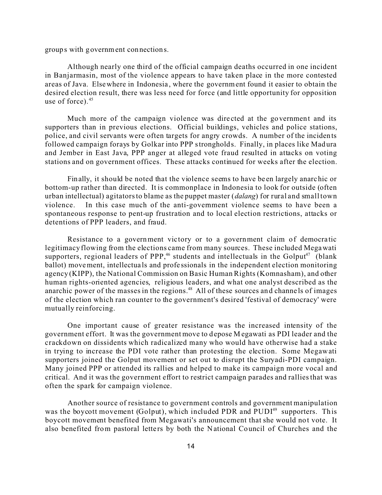groups with government connection s.

Although nearly one third of the official campaign deaths occurred in one incident in Banjarmasin, most of the violence appears to have taken place in the more contested areas of Java. Elsewhere in Indonesia , where the government found it easier to obtain the desired election result, there was less need for force (and little opportunity for opposition use of force). $45$ 

Much more of the campaign violence was dire cted at the go vernment and its supporters than in previous elections. Official buildings, vehicles and police stations, police, and civil servants were often targets for angry crowds. A number of the incidents followed campaign forays by Golkar into PPP strongholds. Finally, in places like Mad ura and Jember in East Java, PPP anger at alleged vote fraud resulted in attacks on voting stations and on government offices. These attacks continued for weeks after the election.

Finally, it should be noted that the violence seems to have be en largely anarchic or bottom-up rather than directed. It is commonplace in Indonesia to look for outside (often urban intellectual) agitators to blame as the puppet master (*dalang*) for rural and small town violence. In this case much of the anti-government violence seems to have been a spontaneous response to pent-up frustration and to local election restrictions, attacks or detentions of PPP leaders, and fraud.

Resistance to a government victory or to a government claim of democratic legitimacy flowing from the elections came from many sources. These included Megawati supporters, regional leaders of PPP,<sup>46</sup> students and intellectuals in the Golput<sup>47</sup> (blank ballot) movement, intellectua ls and profe ssionals in the independent election monitoring agency (KIPP), the National Commission on Basic Human Rights (Komnasham), and other human rights-oriented agencies, religious leaders, and what one analyst described as the anarchic power of the masses in the regions.<sup>48</sup> All of these sources and channels of images of the election which ran counter to the government's desired 'festival of democracy' were mutually reinforcing.

One important cause of greater resistance was the increased intensity of the government effort. It was the government move to depose M egawati as PDI leader and the crackdown on dissidents which radicalized many who would have otherwise had a stake in trying to increase the PDI vote rather than protesting the election. Some Megawati supporters joined the Golput movement or set out to disrupt the Suryadi-PDI campaign. Many joined PPP or attended its rallies and helped to make its campaign more vocal and critical. And it was the government effort to restrict campaign parades and rallies that was often the spark for campaign violence.

Another source of resistance to government controls and government manipulation was the boycott movement (Golput), which included PDR and PUDI<sup>49</sup> supporters. This boycott movement benefited from Megawati's announcement that she would not vote. It also benefited from pastoral letters by both the National Council of Churches and the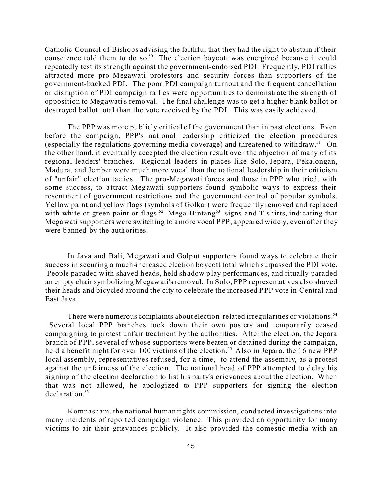Catholic Council of Bishops advising the faithful that they had the righ t to abstain if their conscience told them to do so.<sup>50</sup> The election boycott was energized because it could repeatedly test its strength against the government-endorsed PDI. Frequently, PDI rallies attracted more pro-Megawati protestors and security forces than supporters of the government-backed PDI. The poor PDI campaign turnout and the frequent cancellation or disruption of PDI campaign rallies were opportunities to demonstrate the strength of opposition to Meg awati's removal. The final challenge was to get a higher blank ballot or destroyed ballot total than the vote received by the PDI. This was easily achieved.

The PPP was more publicly critical of the government than in past elections. Even before the campaign, PPP's national leadership criticized the election procedures (especially the regulations governing media coverage) and threatened to withdraw.<sup>51</sup> On the other hand, it eventually accepted the election result over the objection of many of its regional leaders' branches. Regional leaders in places like Solo, Jepara, Pekalongan, Madura, and Jember were much more vocal than the national leadership in their criticism of "unfair" election tactics. The pro-Megawati forces and those in PPP who tried, with some success, to attract Megawati supporters found symbolic ways to express their resentment of government restrictions and the government control of popular symbols. Yellow paint and yellow flags (symbols of Golkar) were frequently removed and replaced with white or green paint or flags.<sup>52</sup> Mega-Bintang<sup>53</sup> signs and T-shirts, indicating that Megawati supporters were switching to a more vocal PPP, appeared widely, even after they were banned by the authorities.

In Java and Bali, Megawati and Golput supporters found ways to celebrate their success in securing a much-increased election boycott total which surpassed the PDI vote. People paraded with shaved heads, held shadow play performances, and ritually paraded an empty cha ir symbolizing Megawati's removal. In Solo, PPP representatives also shaved their heads and bicycled around the city to celebrate the increased PPP vote in Central and East Java.

There were numerous complaints about election-related irregularities or violations.<sup>54</sup> Several local PPP branches took down their own posters and temporarily ceased campaigning to protest unfair treatment by the authorities. After the election, the Jepara branch of PPP, several of whose supporters were beaten or detained during the campaign, held a benefit night for over 100 victims of the election.<sup>55</sup> Also in Jepara, the 16 new PPP local assembly, representatives refused, for a time, to attend the assembly, as a protest against the unfairness of the election. The national head of PPP attempted to delay his signing of the election declaration to list his party's grievances about the election. When that was not allowed, he apologized to PPP supporters for signing the election declaration.<sup>56</sup>

Komnasham, the national human rights commission, conducted inve stigations into many incidents of reported campaign violence. This provided an opportunity for many victims to air their grievances publicly. It also provided the domestic media with an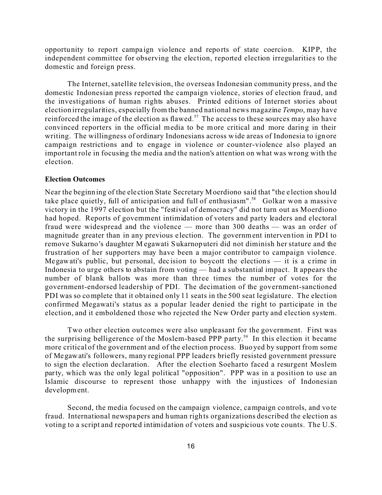opportunity to report campaign violence and reports of state coercion. KIPP, the independent committee for observing the election, reported election irregularities to the domestic and foreign press.

The Internet, satellite television, the overseas Indonesian community press, and the domestic Indonesian press reported the campaign violence, stories of election fraud, and the investigations of human rights abuses. Printed editions of Internet stories about election irregularities, especially from the banned national news magazine *Tempo*, may have reinforced the image of the election as flawed.<sup>57</sup> The access to these sources may also have convinced reporters in the official media to be more critical and more daring in their writing. The willingness of ordinary Indonesians across wide areas of Indonesia to ign ore campaign restrictions and to engage in violence or counter-violence also played an important role in focusing the media and the nation's attention on what was wrong with the election.

#### **Election Outcomes**

Near the beginn ing of the ele ction State Secretary Moerdiono said that "the e lection shou ld take place quietly, full of anticipation and full of enthusiasm".<sup>58</sup> Golkar won a massive victory in the 1997 election but the "festival of democracy" did not turn out as Moerdiono had hoped. Reports of government intimidation of voters and party leaders and electoral fraud were widespread and the violence — more than 300 deaths — was an order of magnitude greater than in any previous e lection. The government intervention in PDI to remove Sukarno 's daughter M egawati Sukarnoputeri did not diminish her stature and the frustration of her supporters may have been a major contributor to campaign violence. Megawati's public, but personal, decision to boycott the elections  $-$  it is a crime in Indonesia to urge others to abstain from voting — had a substantial impact. It appears the number of blank ballots was more than three times the number of votes for the government-endorsed leadership of PDI. The decimation of the government-sanctioned PDI was so complete that it obtained only 11 seats in the 500 seat legislature. The election confirmed Megawati's status as a popular leader denied the right to participate in the election, and it emboldened those who rejected the New Order party and election system.

Two other election outcomes were also unpleasant for the government. First was the surprising belligerence of the Moslem-based PPP party.<sup>59</sup> In this election it became more critical of the government and of the election process. Buo yed by support from some of Megawati's followers, many regional PPP leade rs briefly resisted government pressure to sign the election declaration. After the election Soeharto faced a resurgent Moslem party, which was the only legal political "opposition". PPP was in a position to use an Islamic discourse to represent those unhappy with the injustices of Indonesian development.

Second, the media focused on the campaign violence, campaign co ntrols, and vo te fraud. International newspa pers and human rights organizations described the election as voting to a script and reported intimidation of voters and suspicious vote counts. The U.S.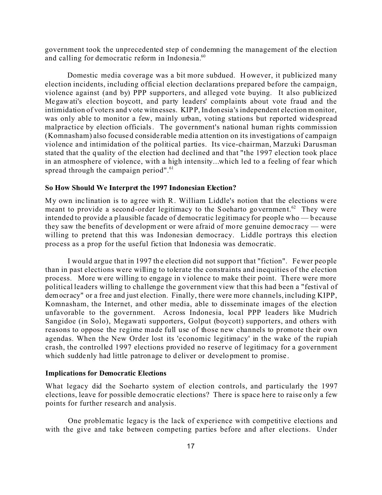government took the unprecedented step of condemning the management of the election and calling for democratic reform in Indonesia.<sup>60</sup>

Domestic media coverage was a bit more subdued. H owever, it publicized many election incidents, including official election declarations prepared before the campaign, violence against (and by) PPP supporters, and alleged vote buying. It also publicized Megawati's election boycott, and party leaders' complaints about vote fraud and the intimidation of voters and vote witn esses. KIPP, Indonesia's independent election monitor, was only able to monitor a few, mainly urban, voting stations but reported widespread malpractice by election officials. The government's national human rights commission (Komnasham) also focused conside rable media attention on its investigations of campaign violence and intimidation of the political parties. Its vice-chairman, Marzuki Darusman stated that the quality of the election had declined and that "the 1997 election took place in an atmosphere of violence, with a high intensity...which led to a feeling of fear which spread through the campaign period".<sup>61</sup>

#### **So How Should We Interpret the 1997 Indonesian Election?**

My own inc lination is to agree with R. William Liddle's notion that the elections were meant to provide a second-order legitimacy to the Soeharto government.<sup>62</sup> They were intended to provide a plausible facade of democratic legitimacy for people who — because they saw the benefits of development or were afraid of more genuine democracy — were willing to pretend that this was Indonesian democracy. Liddle portrays this election process as a prop for the useful fiction that Indonesia was democratic.

I would argue that in 1997 the election did not suppo rt that "fiction". Fewer people than in past elections were willing to tolerate the constraints and inequities of the election process. More were willing to engage in violence to make their point. There were more political leaders willing to challenge the government view that this had been a "festival of democr acy" or a free and just election. Finally, there were more channels, including KIPP, Komnasham, the Internet, and other media, able to disseminate images of the election unfavorable to the government. Across Indonesia, local PPP leaders like Mudrich Sangidoe (in Solo), Megawati supporters, Golput (boycott) supporters, and others with reasons to oppose the regime made full use of those new channels to promote their own agendas. When the New Order lost its 'economic legitimacy' in the wake of the rupiah crash, the controlled 1997 elections provided no reserve of legitimacy for a government which suddenly had little patronage to deliver or development to promise .

#### **Implications for Democratic Elections**

What legacy did the Soeharto system of election controls, and particularly the 1997 elections, leave for possible democratic elections? There is space here to raise only a few points for further research and analysis.

One problematic legacy is the lack of experience with competitive elections and with the give and take between competing parties before and after elections. Under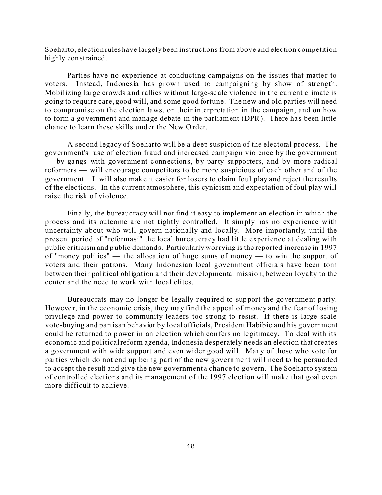Soeharto, election rules have largely been instructions from above and election competition highly con strained.

Parties have no experience at conducting campaigns on the issues that matter to voters. Instead, Indonesia has grown used to campaigning by show of strength. Mobilizing large crowds a nd rallies without large-sc ale violence in the current c limate is going to require care, good will, and some good fortune. The new and old parties will need to compromise on the election laws, on their interpretation in the campaign, and on how to form a government and manage debate in the parliament (DPR). There has been little chance to learn these skills und er the New Order.

A second legacy of Soeharto will be a deep suspicion of the electoral process. The government's use of election fraud and increased campaign violence by the government  $-$  by gangs with government connections, by party supporters, and by more radical reformers — will encourage competitors to be more suspicious of each other and of the government. It will also make it easier for losers to claim foul play and reject the results of the elec tions. In the current atmosphere, this cynicism and expectation of foul play will raise the risk of violence.

Finally, the bureaucracy will not find it easy to implement an election in which the process and its outcome are not tightly controlled. It simply has no experience with uncertainty about who will govern nationally and locally. More importantly, until the present period of "reformasi" the local bureaucracy had little experience at dealing with public criticism and p ublic demands. Particularly worrying is the reported increase in 1997 of "money politics" — the allocation of huge sums of money — to win the support of voters and their patrons. Many Indonesian local government officials have been torn between their political obligation and their developmental mission, between loyalty to the center and the need to work with local elites.

Bureauc rats may no longer be legally required to support the government party. However, in the economic crisis, they may find the appeal of money and the fear of losing privilege and power to community leaders too strong to resist. If there is large scale vote-buying and partisan behavior by local officials, President Habibie and his government could be returned to power in an election which confers no legitimacy. To deal with its economic and political reform agenda, Indonesia desperately needs an election that creates a government with wide support and even wider good will. Many of those who vote for parties which do not end up being part of the new government will need to be persuaded to accept the result and give the new government a chance to govern. The Soeharto system of controlled elections and its management of the 1997 election will make that goal even more difficult to achieve.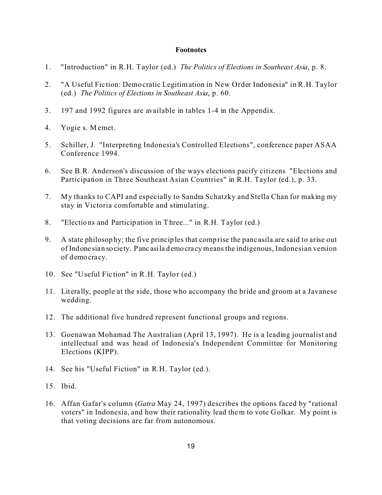#### **Footnotes**

- 1. "Introduction" in R.H. Taylor (ed.) *The Politics of Elections in Southeast Asia*, p. 8.
- 2. "A Useful Fic tion: Demo cratic Legitimation in New Order Indonesia" in R.H. Taylor (ed.) *The Politics of Elections in Southeast Asia*, p. 60.
- 3. 197 and 1992 figures are available in tables 1-4 in the Appendix.
- 4. Yogie s. M emet.
- 5. Schiller, J. "Interpreting Indonesia's Controlled Elections", conference paper ASAA Conference 1994.
- 6. See B.R. Anderson's discussion of the ways elections pacify citizens "Elections and Participation in Three Southeast Asian Countries" in R.H. Taylor (ed.), p. 33.
- 7. My thanks to CAPI and especially to Sandra Schatzky and Stella Chan for making my stay in Victoria comfortable and stimulating.
- 8. "Electio ns and Participation in Three..." in R.H. Taylor (ed.)
- 9. A state philosop hy; the five principles that comp rise the panc asila are said to arise out of Indone sian society. Panc asila demo cracy meansthe indigenous, Indonesian version of demo cracy.
- 10. See "Useful Fic tion" in R.H. Taylor (ed.)
- 11. Literally, people at the side, those who accompany the bride and groom at a Javanese wedding.
- 12. The additional five hundred represent functional groups and regions.
- 13. Goenawan Mohamad The Australian (April 13, 1997). He is a leading journalist and intellectual and was head of Indonesia's Independent Committee for Monitoring Elections (KIPP).
- 14. See his "Useful Fiction" in R.H. Taylor (ed.).
- 15. Ibid.
- 16. Affan Gafar's column (*Gatra* May 24, 1997) describes the options faced by "rational voters" in Indonesia, and how their rationality lead them to vote Golkar. My point is that voting decisions are far from autonomous.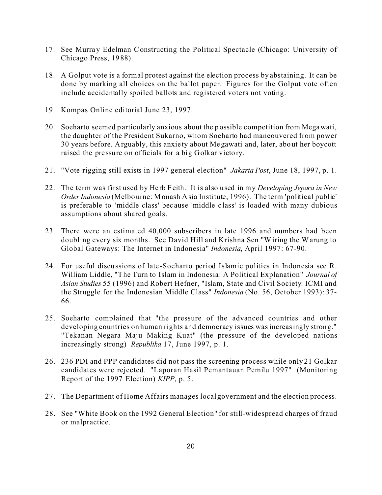- 17. See Murray Edelman Constructing the Political Spectacle (Chicago: University of Chicago Press, 19 88).
- 18. A Golput vote is a formal protest against the election process by abstaining. It can be done by marking all choices on the ballot paper. Figures for the Golput vote often include accidentally spoiled ballots and registered voters not voting.
- 19. Kompas Online editorial June 23, 1997.
- 20. Soeharto seemed particularly anxious about the p ossible competition from Megawati, the daughter of the President Sukarno, whom Soeharto had maneouvered from power 30 years before. Arguably, this anxie ty about Me gawati and, later, abo ut her boycott raised the pressure on officials for a big Golkar victory.
- 21. "Vote rigging still exists in 1997 general election" *Jakarta Post*, June 18, 1997, p. 1.
- 22. The term was first used by Herb Feith . It is also used in my *Developing Jepara in New Order Indonesia* (Melbo urne: Monash Asia Institute, 1996). The term 'political public' is preferable to 'middle class' bec ause 'middle c lass' is loaded with many dubious assumptions about shared goals.
- 23. There were an estimated 40,000 subscribers in late 1996 and numbers had been doubling every six months. See David Hill and Krishna Sen "Wiring the Warung to Global Gateways: The Internet in Indonesia" *Indonesia*, April 1997: 67-90.
- 24. For useful discu ssions of late-Soeharto period Islamic politics in Indonesia see R. William Liddle, "The Turn to Islam in Indonesia: A Political Explanation" *Journal of Asian Studies* 55 (1996) and Robert Hefner, "Islam, State and Civil Society: ICMI and the Struggle for the Indonesian Middle Class" *Indonesia* (No. 56, October 1993): 37- 66.
- 25. Soeharto complained that "the pressure of the advanced countries and other developing countries on human rights and democracy issues was increasingly strong." "Tekanan Negara Maju Making Kuat" (the pressure of the developed nations increasingly strong) *Republika* 17, June 1997, p. 1.
- 26. 236 PDI and PPP candidates did not pass the screening process while only 21 Golkar candidates were rejected. "Laporan Hasil Pemantauan Pemilu 1997" (Monitoring Report of the 1997 Election) *KIPP*, p. 5.
- 27. The Department of Home Affairs manages local government and the election process.
- 28. See "White Book on the 1992 General Election" for still-widespread charges of fraud or malpractice.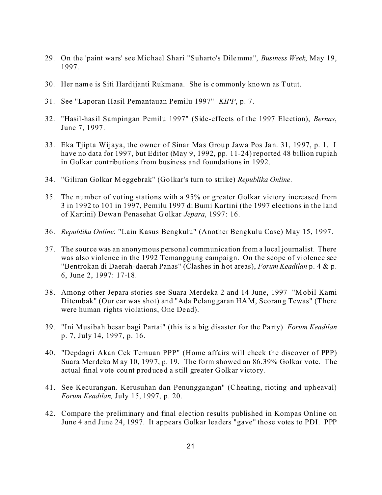- 29. On the 'paint wa rs' see Michael Shari "Suharto's Dilemma", *Business Week*, May 19, 1997.
- 30. Her name is Siti Hardijanti Rukmana. She is c ommonly known as Tutut.
- 31. See "Laporan Hasil Pemantauan Pemilu 1997" *KIPP*, p. 7.
- 32. "Hasil-hasil Sampingan Pemilu 1997" (Side-effects of the 1997 Election), *Bernas*, June 7, 1997.
- 33. Eka Tiipta Wijaya, the owner of Sinar Mas Group Jawa Pos Jan. 31, 1997, p. 1. I have no data for 1997, but Editor (May 9, 1992, pp. 11-24) reported 48 billion rupiah in Golkar contributions from business and foundations in 1992.
- 34. "Giliran Golkar M eggebrak" (Go lkar's turn to strike) *Republika Online*.
- 35. The number of voting stations with a 95% or greater Golkar victory increased from 3 in 1992 to 101 in 1997, Pemilu 1997 di Bumi Kartini (the 1997 elections in the land of Kartini) Dewa n Penasehat Golkar *Jepara*, 1997: 16.
- 36. *Republika Online*: "Lain Kasus Bengkulu" (Another Bengkulu Case) May 15, 1997.
- 37. The source was an anonymous personal communication from a local journalist. There was also violence in the 1992 Temanggung campaign. On the scope of violence see "Bentrokan di Daerah-daerah Panas" (Clashes in h ot areas), *Forum Keadilan* p. 4 & p. 6, June 2, 1997: 17-18.
- 38. Among other Jepara stories see Suara Merdeka 2 and 14 June, 1997 "Mobil Kami Ditembak" (Our car was shot) and "Ada Pelanggaran HAM, Seorang Tewas" (There were human rights violations, One Dead).
- 39. "Ini Musibah besar bagi Partai" (this is a big disaster for the Pa rty) *Forum Keadilan* p. 7, July 14, 1997, p. 16.
- 40. "Depdagri Akan Cek Temuan PPP" (Home affairs will check the discover of PPP) Suara Merdeka M ay 10, 199 7, p. 19. The form showed an 86.39% Golkar vote. The actual final vote cou nt produced a still gre ater Golkar victo ry.
- 41. See Kecurangan. Kerusuhan dan Penunggangan" (Cheating, rioting and upheaval) *Forum Keadilan,* July 15, 1997, p. 20.
- 42. Compare the preliminary and final election results published in Kompas Online on June 4 and June 24, 1997. It appears Golkar leaders "gave" those votes to PDI. PPP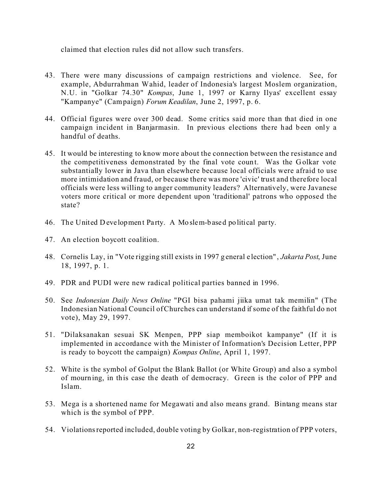claimed that election rules did not allow such transfers.

- 43. There were many discussions of campaign restrictions and violence. See, for example, Abdurrahman Wahid, leader of Indonesia's largest Moslem organization, N.U. in "Golkar 74.30" *Kompas*, June 1, 1997 or Karny Ilyas' excellent essay "Kampanye" (Campaign) *Forum Keadilan*, June 2, 1997, p. 6.
- 44. Official figures were over 300 dead. Some critics said more than that died in one campaign incident in Banjarmasin. In previous elections there had b een only a handful of deaths.
- 45. It would be interesting to know more about the connection between the resistance and the competitiveness demonstrated by the final vote count. Was the Golkar vote substantially lower in Java than elsewhere because local officials were afraid to use more intimidation and fraud, or because there was more 'civic' trust and therefore local officials were less willing to anger community leaders? Alternatively, were Javanese voters more critical or more dependent upon 'traditional' patrons who opposed the state?
- 46. The United Development Party. A Moslem-based political party.
- 47. An election boycott coalition.
- 48. Cornelis Lay, in "Vote rigging still exists in 1997 g eneral e lection" , *Jakarta Post*, June 18, 1997, p. 1.
- 49. PDR and PUDI were new radical political parties banned in 1996.
- 50. See *Indonesian Daily News Online* "PGI bisa pahami jiika umat tak memilin" (The Indonesian National Council of Churches can understand if some of the faithful do not vote), May 29, 1997.
- 51. "Dilaksanakan sesuai SK Menpen, PPP siap memboikot kampanye" (If it is implemented in accordance with the Minister of Information's Decision Letter, PPP is ready to boycott the campaign) *Kompas Online*, April 1, 1997.
- 52. White is the symbol of Golput the Blank Ballot (or White Group) and also a symbol of mourning, in this case the death of democracy. Green is the color of PPP and Islam.
- 53. Mega is a shortened name for Megawati and also means grand. Bintang means star which is the symbol of PPP.
- 54. Violationsreported included, double voting by Golkar, non-registration of PPP voters,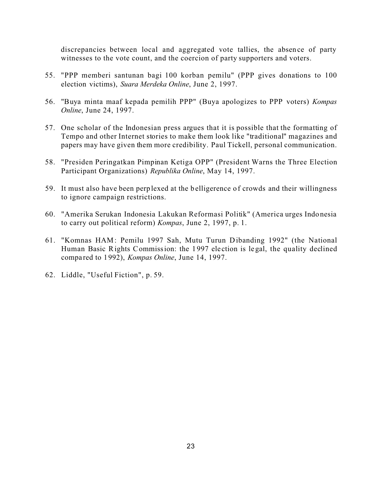discrepancies between local and aggregated vote tallies, the absen ce of party witnesses to the vote count, and the coercion of party supporters and voters.

- 55. "PPP memberi santunan bagi 100 korban pemilu" (PPP gives donations to 100 election victims), *Suara Merdeka Online*, June 2, 1997.
- 56. "Buya minta maaf kepada pemilih PPP" (Buya apologizes to PPP voters) *Kompas Online*, June 24, 1997.
- 57. One scholar of the Indonesian press argues that it is possible that the formatting of Tempo and other Internet stories to make them look like "traditional" magazines and papers may have given them more credibility. Paul Tickell, personal communication.
- 58. "Presiden Peringatkan Pimpinan Ketiga OPP" (President Warns the Three Election Participant Organizations) *Republika Online*, May 14, 1997.
- 59. It must also have been perp lexed at the belligerence of crowds and their willingness to ignore campaign restrictions.
- 60. "Amerika Serukan Indonesia Lakukan Reformasi Politik" (America urges Indo nesia to carry out political reform) *Kompas*, June 2, 1997, p. 1.
- 61. "Komnas HAM: Pemilu 1997 Sah, Mutu Turun Dibanding 1992" (the National Human Basic Rights Commission: the 1 997 ele ction is legal, the quality declined compa red to 1992), *Kompas Online*, June 14, 1997.
- 62. Liddle, "Useful Fiction", p. 59.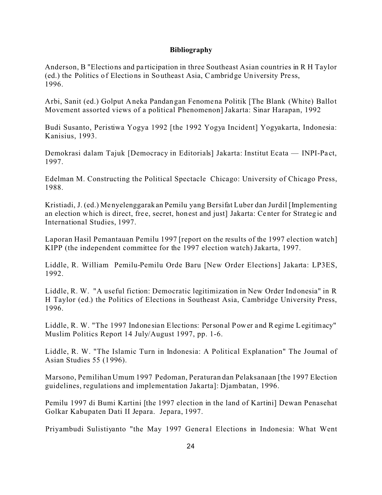### **Bibliography**

Anderson, B "Elections and participation in three Southeast Asian countries in R H Taylor (ed.) the Politics of Elections in Southeast Asia, Cambridge University Press, 1996.

Arbi, Sanit (ed.) Golput Aneka Pandan gan Fenomena Politik [The Blank (White) Ballot Movement assorted views of a political Phenomenon] Jakarta: Sinar Harapan, 1992

Budi Susanto, Peristiwa Yogya 1992 [the 1992 Yogya Incident] Yogyakarta, Indonesia: Kanisius, 1993.

Demokrasi dalam Tajuk [Democracy in Editorials] Jakarta: Institut Ecata — INPI-Pa ct, 1997.

Edelman M. Constructing the Political Spectacle Chicago: University of Chicago Press, 1988.

Kristiadi, J. (ed.) Me nyelenggarak an Pemilu yang Bersifat Luber dan Jurdil [Implementing an election which is direct, free, secret, honest and just] Jakarta: Center for Strategic and International Studies, 1997.

Laporan Hasil Pemantauan Pemilu 1997 [report on the results of the 1997 election watch] KIPP (the independent committee for the 1997 election watch) Jakarta, 1997.

Liddle, R. William Pemilu-Pemilu Orde Baru [New Order Elections] Jakarta: LP3ES, 1992.

Liddle, R. W. "A useful fiction: Democratic legitimization in New Order Ind onesia" in R H Taylor (ed.) the Politics of Elections in Southeast Asia, Cambridge University Press, 1996.

Liddle, R. W. "The 1997 Indone sian Elections: Personal Power and Regime Legitimacy" Muslim Politics Report 14 July/August 1997, pp. 1-6.

Liddle, R. W. "The Islamic Turn in Indonesia: A Political Explanation" The Journal of Asian Studies 55 (1 996).

Marsono, Pemilihan Umum 1997 Pedoman, Peraturan dan Pelaksanaan [the 1997 Election guidelines, regulations and implementation Jakarta]: Djambatan, 1996.

Pemilu 1997 di Bumi Kartini [the 1997 election in the land of Kartini] Dewan Penasehat Golkar Kabupaten Dati II Jepara. Jepara, 1997.

Priyambudi Sulistiyanto "the May 1997 General Elections in Indonesia: What Went